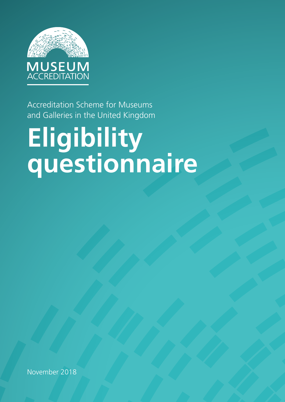

Accreditation Scheme for Museums and Galleries in the United Kingdom

# **Eligibility questionnaire**

November 2018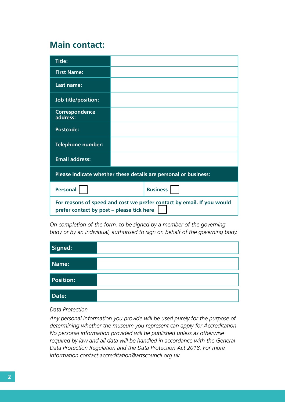#### **Main contact:**

| <b>Title:</b>                                                                                                       |                 |  |  |  |  |
|---------------------------------------------------------------------------------------------------------------------|-----------------|--|--|--|--|
| <b>First Name:</b>                                                                                                  |                 |  |  |  |  |
| Last name:                                                                                                          |                 |  |  |  |  |
| Job title/position:                                                                                                 |                 |  |  |  |  |
| Correspondence<br>address:                                                                                          |                 |  |  |  |  |
| <b>Postcode:</b>                                                                                                    |                 |  |  |  |  |
| <b>Telephone number:</b>                                                                                            |                 |  |  |  |  |
| <b>Email address:</b>                                                                                               |                 |  |  |  |  |
| Please indicate whether these details are personal or business:                                                     |                 |  |  |  |  |
| <b>Personal</b>                                                                                                     | <b>Business</b> |  |  |  |  |
| For reasons of speed and cost we prefer contact by email. If you would<br>prefer contact by post – please tick here |                 |  |  |  |  |

*On completion of the form, to be signed by a member of the governing body or by an individual, authorised to sign on behalf of the governing body.*

| Signed:          |  |
|------------------|--|
| Name:            |  |
| <b>Position:</b> |  |
| Date:            |  |

#### *Data Protection*

*Any personal information you provide will be used purely for the purpose of determining whether the museum you represent can apply for Accreditation. No personal information provided will be published unless as otherwise required by law and all data will be handled in accordance with the General Data Protection Regulation and the Data Protection Act 2018. For more information contact accreditation@artscouncil.org.uk*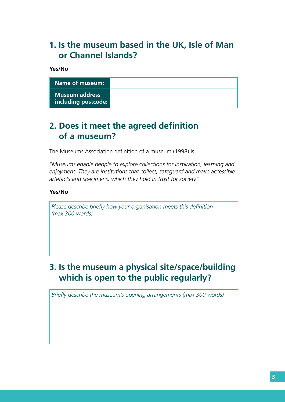# **1. Is the museum based in the UK, Isle of Man or Channel Islands?**

**Yes/No**

| Name of museum:                              |
|----------------------------------------------|
| <b>Museum address</b><br>including postcode: |

### **2. Does it meet the agreed definition of a museum?**

The Museums Association definition of a museum (1998) is:

*"Museums enable people to explore collections for inspiration, learning and enjoyment. They are institutions that collect, safeguard and make accessible artefacts and specimens, which they hold in trust for society"*

#### **Yes/No**

*Please describe briefly how your organisation meets this definition (max 300 words)*

# **3. Is the museum a physical site/space/building which is open to the public regularly?**

*Briefly describe the museum's opening arrangements (max 300 words)*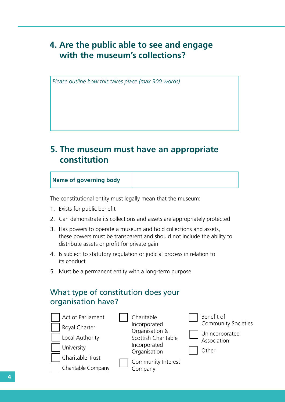# **4. Are the public able to see and engage with the museum's collections?**

*Please outline how this takes place (max 300 words)*

### **5. The museum must have an appropriate constitution**

#### **Name of governing body**

The constitutional entity must legally mean that the museum:

- 1. Exists for public benefit
- 2. Can demonstrate its collections and assets are appropriately protected
- 3. Has powers to operate a museum and hold collections and assets, these powers must be transparent and should not include the ability to distribute assets or profit for private gain
- 4. Is subject to statutory regulation or judicial process in relation to its conduct
- 5. Must be a permanent entity with a long-term purpose

#### What type of constitution does your organisation have?

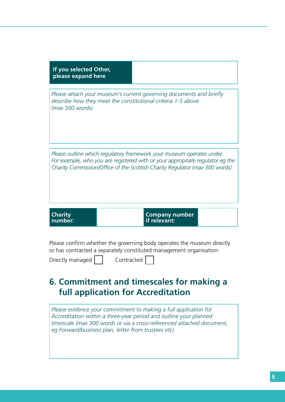| If you selected Other,<br>please expand here                                                                                                                                                                                          |  |                                       |  |  |
|---------------------------------------------------------------------------------------------------------------------------------------------------------------------------------------------------------------------------------------|--|---------------------------------------|--|--|
| Please attach your museum's current governing documents and briefly<br>describe how they meet the constitutional criteria 1-5 above<br>(max 500 words)                                                                                |  |                                       |  |  |
| Please outline which regulatory framework your museum operates under.<br>For example, who you are registered with or your appropriate regulator eg the<br>Charity Commission/Office of the Scottish Charity Regulator (max 300 words) |  |                                       |  |  |
| <b>Charity</b><br>number:                                                                                                                                                                                                             |  | <b>Company number</b><br>if relevant: |  |  |

Please confirm whether the governing body operates the museum directly or has contracted a separately constituted management organisation:

| Directly managed | CO. |
|------------------|-----|
|                  |     |

 $\mathsf{contracted}$ 

# **6. Commitment and timescales for making a full application for Accreditation**

*Please evidence your commitment to making a full application for Accreditation within a three-year period and outline your planned timescale (max 300 words or via a cross-referenced attached document, eg Forward/business plan, letter from trustees etc)*